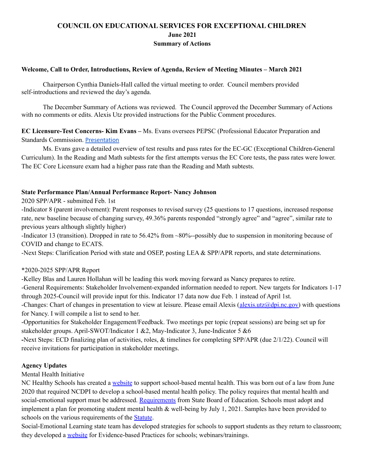# **COUNCIL ON EDUCATIONAL SERVICES FOR EXCEPTIONAL CHILDREN June 2021 Summary of Actions**

## **Welcome, Call to Order, Introductions, Review of Agenda, Review of Meeting Minutes – March 2021**

Chairperson Cynthia Daniels-Hall called the virtual meeting to order. Council members provided self-introductions and reviewed the day's agenda.

The December Summary of Actions was reviewed. The Council approved the December Summary of Actions with no comments or edits. Alexis Utz provided instructions for the Public Comment procedures.

**EC Licensure-Test Concerns- Kim Evans –** Ms. Evans oversees PEPSC (Professional Educator Preparation and Standards Commission. [Presentation](https://drive.google.com/file/d/1bAWK3pMXSuQ4ncCRwmI7yTE42_PWPKe7/view?usp=sharing)

Ms. Evans gave a detailed overview of test results and pass rates for the EC-GC (Exceptional Children-General Curriculum). In the Reading and Math subtests for the first attempts versus the EC Core tests, the pass rates were lower. The EC Core Licensure exam had a higher pass rate than the Reading and Math subtests.

#### **State Performance Plan/Annual Performance Report- Nancy Johnson**

2020 SPP/APR - submitted Feb. 1st

-Indicator 8 (parent involvement): Parent responses to revised survey (25 questions to 17 questions, increased response rate, new baseline because of changing survey, 49.36% parents responded "strongly agree" and "agree", similar rate to previous years although slightly higher)

-Indicator 13 (transition). Dropped in rate to 56.42% from ~80%--possibly due to suspension in monitoring because of COVID and change to ECATS.

-Next Steps: Clarification Period with state and OSEP, posting LEA & SPP/APR reports, and state determinations.

#### \*2020-2025 SPP/APR Report

-Kelley Blas and Lauren Hollahan will be leading this work moving forward as Nancy prepares to retire.

-General Requirements: Stakeholder Involvement-expanded information needed to report. New targets for Indicators 1-17 through 2025-Council will provide input for this. Indicator 17 data now due Feb. 1 instead of April 1st.

-Changes: Chart of changes in presentation to view at leisure. Please email Alexis (alexis.utz $\omega$ dpi.nc.gov) with questions for Nancy. I will compile a list to send to her.

-Opportunities for Stakeholder Engagement/Feedback. Two meetings per topic (repeat sessions) are being set up for stakeholder groups. April-SWOT/Indicator 1 &2, May-Indicator 3, June-Indicator 5 &6

**-**Next Steps: ECD finalizing plan of activities, roles, & timelines for completing SPP/APR (due 2/1/22). Council will receive invitations for participation in stakeholder meetings.

# **Agency Updates**

Mental Health Initiative

NC Healthy Schools has created a [website](https://sites.google.com/dpi.nc.gov/nchealthyschools/home) to support school-based mental health. This was born out of a law from June 2020 that required NCDPI to develop a school-based mental health policy. The policy requires that mental health and social-emotional support must be addressed. [Requirements](https://simbli.eboardsolutions.com/Policy/ViewPolicy.aspx?S=10399&revid=cftplusNNeYfPochIgmWqDYJA==&PG=6&st=shlt-003&mt=Exact) from State Board of Education. Schools must adopt and implement a plan for promoting student mental health  $\&$  well-being by July 1, 2021. Samples have been provided to schools on the various requirements of the [Statute](https://www.ncleg.gov/Sessions/2019/Bills/Senate/PDF/S476v6.pdf).

Social-Emotional Learning state team has developed strategies for schools to support students as they return to classroom; they developed a [website](https://sites.google.com/dpi.nc.gov/ncdpiselremotelearning/home) for Evidence-based Practices for schools; webinars/trainings.